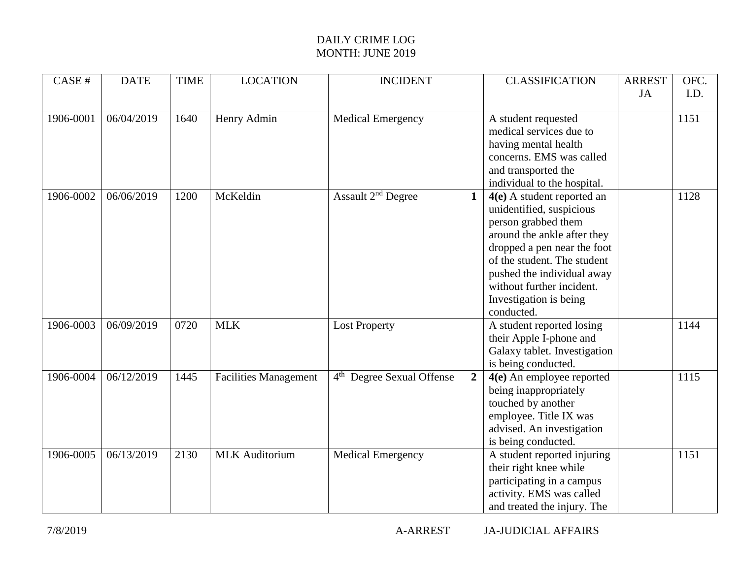## DAILY CRIME LOG MONTH: JUNE 2019

| CASE #    | <b>DATE</b> | <b>TIME</b> | <b>LOCATION</b>              | <b>INCIDENT</b>                                         | <b>CLASSIFICATION</b>                                                                                                                                                                                                                                                           | <b>ARREST</b> | OFC. |
|-----------|-------------|-------------|------------------------------|---------------------------------------------------------|---------------------------------------------------------------------------------------------------------------------------------------------------------------------------------------------------------------------------------------------------------------------------------|---------------|------|
|           |             |             |                              |                                                         |                                                                                                                                                                                                                                                                                 | JA            | I.D. |
| 1906-0001 | 06/04/2019  | 1640        | Henry Admin                  | <b>Medical Emergency</b>                                | A student requested<br>medical services due to<br>having mental health<br>concerns. EMS was called<br>and transported the<br>individual to the hospital.                                                                                                                        |               | 1151 |
| 1906-0002 | 06/06/2019  | 1200        | McKeldin                     | Assault 2 <sup>nd</sup> Degree<br>$\mathbf{1}$          | $4(e)$ A student reported an<br>unidentified, suspicious<br>person grabbed them<br>around the ankle after they<br>dropped a pen near the foot<br>of the student. The student<br>pushed the individual away<br>without further incident.<br>Investigation is being<br>conducted. |               | 1128 |
| 1906-0003 | 06/09/2019  | 0720        | <b>MLK</b>                   | <b>Lost Property</b>                                    | A student reported losing<br>their Apple I-phone and<br>Galaxy tablet. Investigation<br>is being conducted.                                                                                                                                                                     |               | 1144 |
| 1906-0004 | 06/12/2019  | 1445        | <b>Facilities Management</b> | 4 <sup>th</sup> Degree Sexual Offense<br>$\overline{2}$ | 4(e) An employee reported<br>being inappropriately<br>touched by another<br>employee. Title IX was<br>advised. An investigation<br>is being conducted.                                                                                                                          |               | 1115 |
| 1906-0005 | 06/13/2019  | 2130        | <b>MLK</b> Auditorium        | <b>Medical Emergency</b>                                | A student reported injuring<br>their right knee while<br>participating in a campus<br>activity. EMS was called<br>and treated the injury. The                                                                                                                                   |               | 1151 |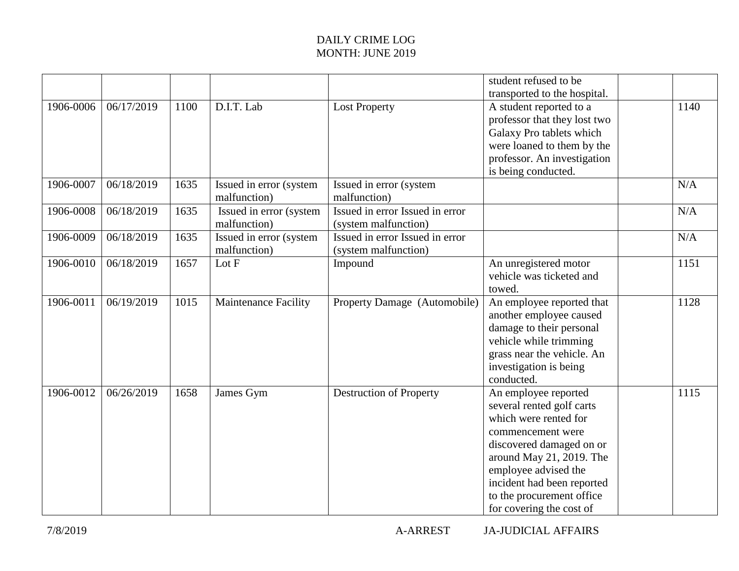## DAILY CRIME LOG MONTH: JUNE 2019

|           |            |      |                                         |                                                         | student refused to be<br>transported to the hospital.                                                                                                                                                                                                                  |      |
|-----------|------------|------|-----------------------------------------|---------------------------------------------------------|------------------------------------------------------------------------------------------------------------------------------------------------------------------------------------------------------------------------------------------------------------------------|------|
| 1906-0006 | 06/17/2019 | 1100 | D.I.T. Lab                              | <b>Lost Property</b>                                    | A student reported to a<br>professor that they lost two<br>Galaxy Pro tablets which<br>were loaned to them by the<br>professor. An investigation<br>is being conducted.                                                                                                | 1140 |
| 1906-0007 | 06/18/2019 | 1635 | Issued in error (system<br>malfunction) | Issued in error (system<br>malfunction)                 |                                                                                                                                                                                                                                                                        | N/A  |
| 1906-0008 | 06/18/2019 | 1635 | Issued in error (system<br>malfunction) | Issued in error Issued in error<br>(system malfunction) |                                                                                                                                                                                                                                                                        | N/A  |
| 1906-0009 | 06/18/2019 | 1635 | Issued in error (system<br>malfunction) | Issued in error Issued in error<br>(system malfunction) |                                                                                                                                                                                                                                                                        | N/A  |
| 1906-0010 | 06/18/2019 | 1657 | Lot F                                   | Impound                                                 | An unregistered motor<br>vehicle was ticketed and<br>towed.                                                                                                                                                                                                            | 1151 |
| 1906-0011 | 06/19/2019 | 1015 | <b>Maintenance Facility</b>             | Property Damage (Automobile)                            | An employee reported that<br>another employee caused<br>damage to their personal<br>vehicle while trimming<br>grass near the vehicle. An<br>investigation is being<br>conducted.                                                                                       | 1128 |
| 1906-0012 | 06/26/2019 | 1658 | James Gym                               | <b>Destruction of Property</b>                          | An employee reported<br>several rented golf carts<br>which were rented for<br>commencement were<br>discovered damaged on or<br>around May 21, 2019. The<br>employee advised the<br>incident had been reported<br>to the procurement office<br>for covering the cost of | 1115 |